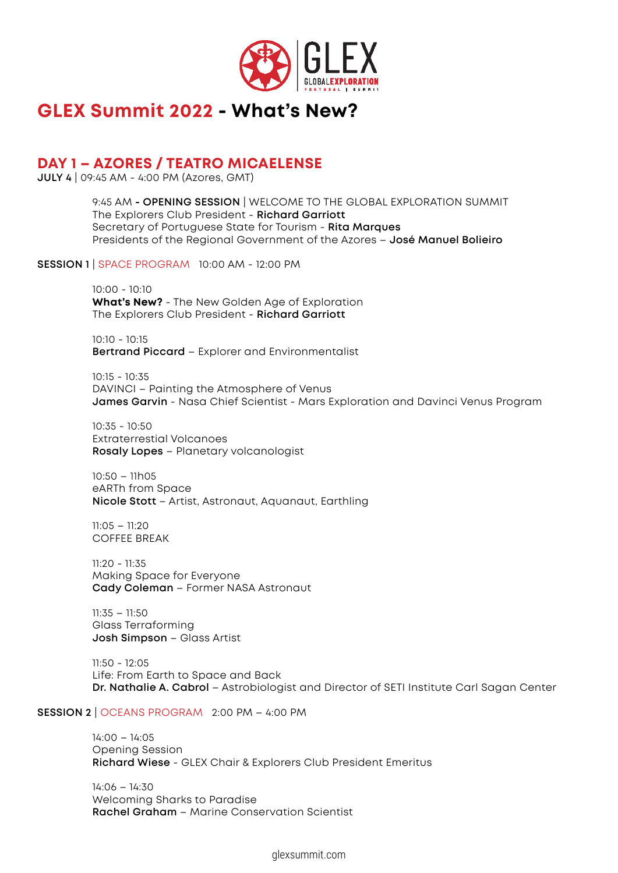

# **GLEX Summit 2022 - What's New?**

## **DAY 1 – AZORES / TEATRO MICAELENSE**

**JULY 4** | 09:45 AM - 4:00 PM (Azores, GMT)

9:45 AM **- OPENING SESSION** | WELCOME TO THE GLOBAL EXPLORATION SUMMIT The Explorers Club President - **Richard Garriott** Secretary of Portuguese State for Tourism - **Rita Marques** Presidents of the Regional Government of the Azores – **José Manuel Bolieiro**

**SESSION 1** | SPACE PROGRAM 10:00 AM - 12:00 PM

10:00 - 10:10 **What's New?** - The New Golden Age of Exploration The Explorers Club President - **Richard Garriott**

10:10 - 10:15 **Bertrand Piccard** – Explorer and Environmentalist

10:15 - 10:35 DAVINCI – Painting the Atmosphere of Venus **James Garvin** - Nasa Chief Scientist - Mars Exploration and Davinci Venus Program

10:35 - 10:50 Extraterrestial Volcanoes **Rosaly Lopes** – Planetary volcanologist

10:50 – 11h05 eARTh from Space **Nicole Stott** – Artist, Astronaut, Aquanaut, Earthling

11:05 – 11:20 COFFEE BREAK

11:20 - 11:35 Making Space for Everyone **Cady Coleman** – Former NASA Astronaut

11:35 – 11:50 Glass Terraforming **Josh Simpson** – Glass Artist

11:50 - 12:05 Life: From Earth to Space and Back **Dr. Nathalie A. Cabrol** – Astrobiologist and Director of SETI Institute Carl Sagan Center

#### **SESSION 2** | OCEANS PROGRAM 2:00 PM – 4:00 PM

14:00 – 14:05 Opening Session **Richard Wiese** - GLEX Chair & Explorers Club President Emeritus

14:06 – 14:30 Welcoming Sharks to Paradise **Rachel Graham** – Marine Conservation Scientist

glexsummit.com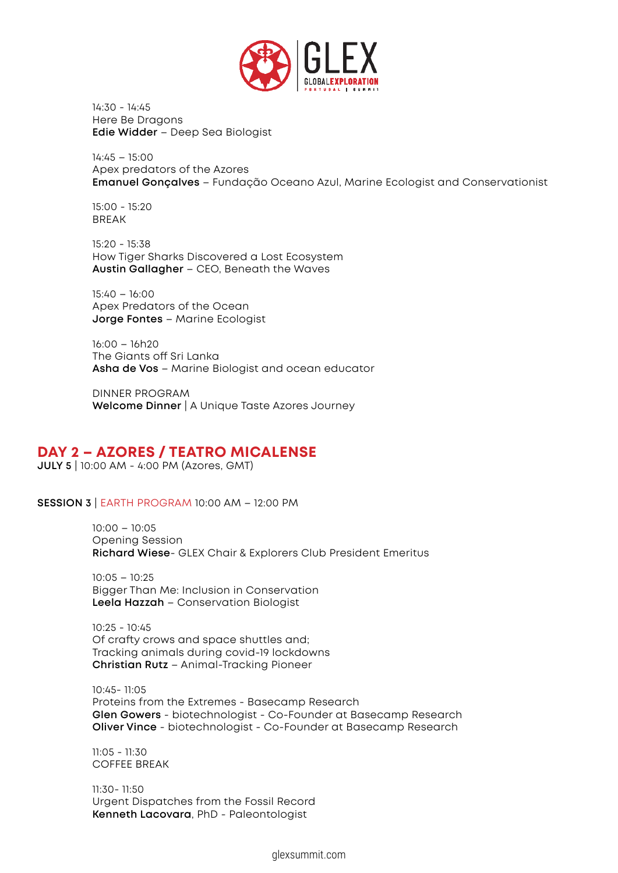

14:30 - 14:45 Here Be Dragons **Edie Widder** – Deep Sea Biologist

14:45 – 15:00 Apex predators of the Azores **Emanuel Gonçalves** – Fundação Oceano Azul, Marine Ecologist and Conservationist

15:00 - 15:20 BREAK

15:20 - 15:38 How Tiger Sharks Discovered a Lost Ecosystem **Austin Gallagher** – CEO, Beneath the Waves

15:40 – 16:00 Apex Predators of the Ocean **Jorge Fontes** – Marine Ecologist

16:00 – 16h20 The Giants off Sri Lanka **Asha de Vos** – Marine Biologist and ocean educator

DINNER PROGRAM **Welcome Dinner** | A Unique Taste Azores Journey

### **DAY 2 – AZORES / TEATRO MICALENSE**

**JULY 5** | 10:00 AM - 4:00 PM (Azores, GMT)

**SESSION 3** | EARTH PROGRAM 10:00 AM – 12:00 PM

10:00 – 10:05 Opening Session **Richard Wiese**- GLEX Chair & Explorers Club President Emeritus

10:05 – 10:25 Bigger Than Me: Inclusion in Conservation **Leela Hazzah** – Conservation Biologist

10:25 - 10:45 Of crafty crows and space shuttles and; Tracking animals during covid-19 lockdowns **Christian Rutz** – Animal-Tracking Pioneer

10:45- 11:05 Proteins from the Extremes - Basecamp Research **Glen Gowers** - biotechnologist - Co-Founder at Basecamp Research **Oliver Vince** - biotechnologist - Co-Founder at Basecamp Research

11:05 - 11:30 COFFEE BREAK

11:30- 11:50 Urgent Dispatches from the Fossil Record **Kenneth Lacovara**, PhD - Paleontologist

glexsummit.com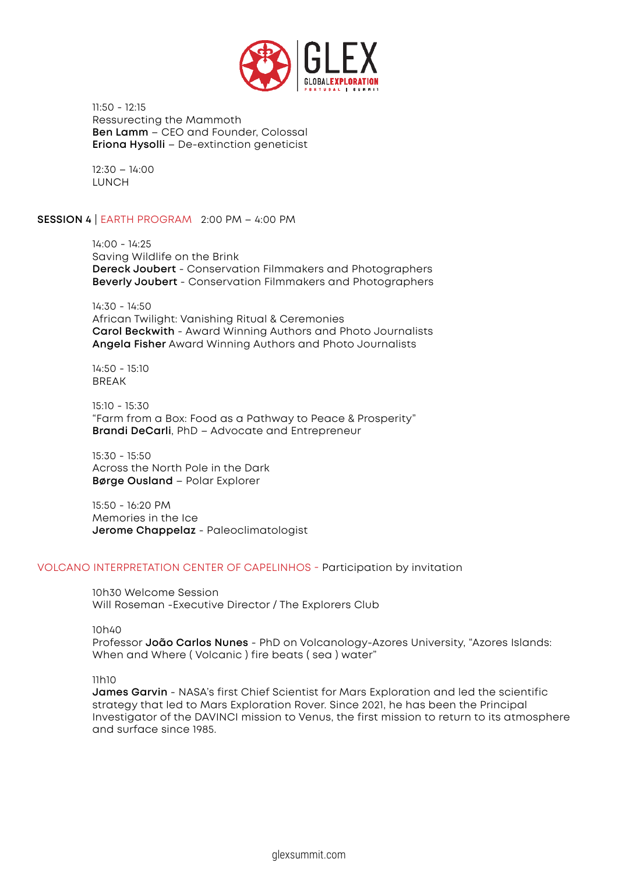

11:50 - 12:15 Ressurecting the Mammoth **Ben Lamm** – CEO and Founder, Colossal **Eriona Hysolli** – De-extinction geneticist

12:30 – 14:00 LUNCH

**SESSION 4** | EARTH PROGRAM 2:00 PM – 4:00 PM

14:00 - 14:25 Saving Wildlife on the Brink **Dereck Joubert** - Conservation Filmmakers and Photographers **Beverly Joubert** - Conservation Filmmakers and Photographers

14:30 - 14:50 African Twilight: Vanishing Ritual & Ceremonies **Carol Beckwith** - Award Winning Authors and Photo Journalists **Angela Fisher** Award Winning Authors and Photo Journalists

14:50 - 15:10 BREAK

15:10 - 15:30 "Farm from a Box: Food as a Pathway to Peace & Prosperity" **Brandi DeCarli**, PhD – Advocate and Entrepreneur

15:30 - 15:50 Across the North Pole in the Dark **Børge Ousland** – Polar Explorer

15:50 - 16:20 PM Memories in the Ice **Jerome Chappelaz** - Paleoclimatologist

#### VOLCANO INTERPRETATION CENTER OF CAPELINHOS - Participation by invitation

10h30 Welcome Session Will Roseman -Executive Director / The Explorers Club

10h40

Professor **João Carlos Nunes** - PhD on Volcanology-Azores University, "Azores Islands: When and Where ( Volcanic ) fire beats ( sea ) water"

#### 11h10

**James Garvin** - NASA's first Chief Scientist for Mars Exploration and led the scientific strategy that led to Mars Exploration Rover. Since 2021, he has been the Principal Investigator of the DAVINCI mission to Venus, the first mission to return to its atmosphere and surface since 1985.